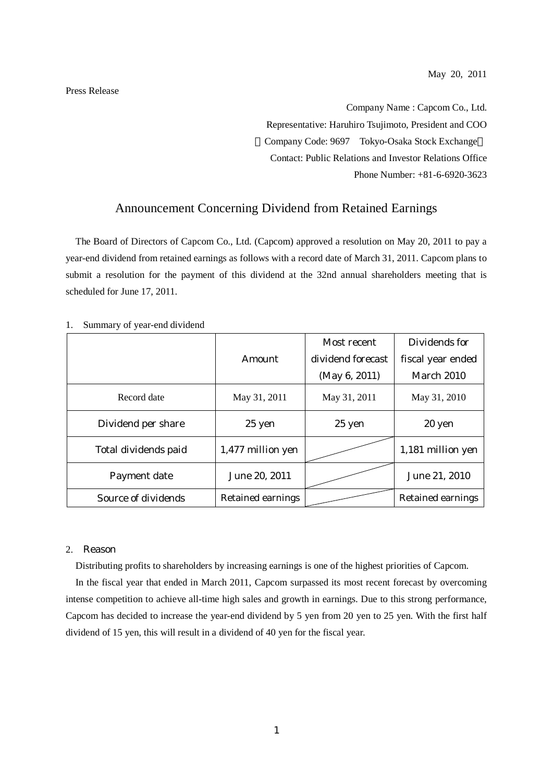Press Release

Company Name : Capcom Co., Ltd. Representative: Haruhiro Tsujimoto, President and COO Company Code: 9697 Tokyo-Osaka Stock Exchange Contact: Public Relations and Investor Relations Office Phone Number: +81-6-6920-3623

## Announcement Concerning Dividend from Retained Earnings

The Board of Directors of Capcom Co., Ltd. (Capcom) approved a resolution on May 20, 2011 to pay a year-end dividend from retained earnings as follows with a record date of March 31, 2011. Capcom plans to submit a resolution for the payment of this dividend at the 32nd annual shareholders meeting that is scheduled for June 17, 2011.

|                      |                          | Most recent       | Dividends for            |
|----------------------|--------------------------|-------------------|--------------------------|
|                      | <b>Amount</b>            | dividend forecast | fiscal year ended        |
|                      |                          | (May 6, 2011)     | <b>March 2010</b>        |
| Record date          | May 31, 2011             | May 31, 2011      | May 31, 2010             |
| Dividend per share   | 25 yen                   | 25 yen            | 20 yen                   |
| Total dividends paid | 1,477 million yen        |                   | 1,181 million yen        |
| Payment date         | June 20, 2011            |                   | June 21, 2010            |
| Source of dividends  | <b>Retained earnings</b> |                   | <b>Retained earnings</b> |

1. Summary of year-end dividend

## 2. Reason

Distributing profits to shareholders by increasing earnings is one of the highest priorities of Capcom.

In the fiscal year that ended in March 2011, Capcom surpassed its most recent forecast by overcoming intense competition to achieve all-time high sales and growth in earnings. Due to this strong performance, Capcom has decided to increase the year-end dividend by 5 yen from 20 yen to 25 yen. With the first half dividend of 15 yen, this will result in a dividend of 40 yen for the fiscal year.